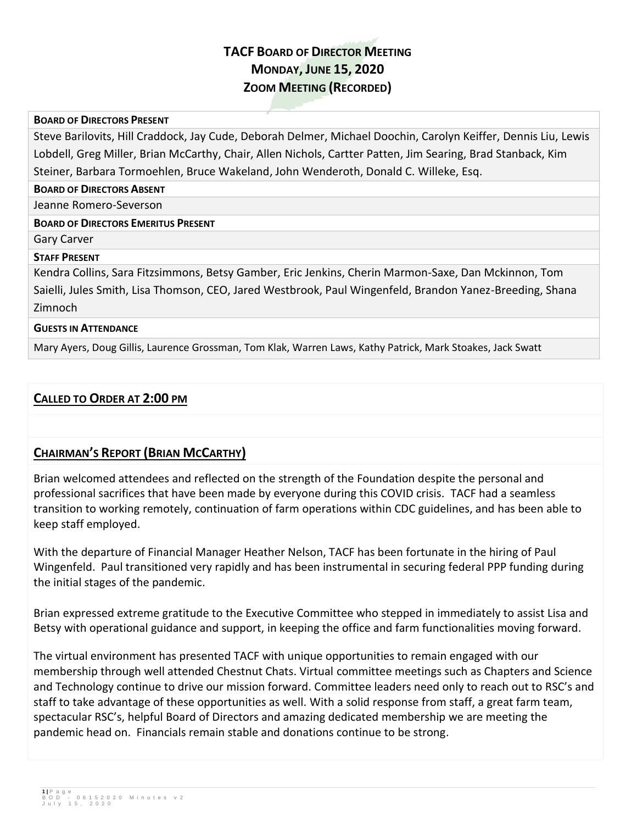# **TACF BOARD OF DIRECTOR MEETING MONDAY, JUNE 15, 2020 ZOOM MEETING (RECORDED)**

#### **BOARD OF DIRECTORS PRESENT**

Steve Barilovits, Hill Craddock, Jay Cude, Deborah Delmer, Michael Doochin, Carolyn Keiffer, Dennis Liu, Lewis Lobdell, Greg Miller, Brian McCarthy, Chair, Allen Nichols, Cartter Patten, Jim Searing, Brad Stanback, Kim Steiner, Barbara Tormoehlen, Bruce Wakeland, John Wenderoth, Donald C. Willeke, Esq.

**BOARD OF DIRECTORS ABSENT**

Jeanne Romero-Severson

#### **BOARD OF DIRECTORS EMERITUS PRESENT**

Gary Carver

#### **STAFF PRESENT**

Kendra Collins, Sara Fitzsimmons, Betsy Gamber, Eric Jenkins, Cherin Marmon-Saxe, Dan Mckinnon, Tom Saielli, Jules Smith, Lisa Thomson, CEO, Jared Westbrook, Paul Wingenfeld, Brandon Yanez-Breeding, Shana Zimnoch

#### **GUESTS IN ATTENDANCE**

Mary Ayers, Doug Gillis, Laurence Grossman, Tom Klak, Warren Laws, Kathy Patrick, Mark Stoakes, Jack Swatt

### **CALLED TO ORDER AT 2:00 PM**

### **CHAIRMAN'S REPORT (BRIAN MCCARTHY)**

Brian welcomed attendees and reflected on the strength of the Foundation despite the personal and professional sacrifices that have been made by everyone during this COVID crisis. TACF had a seamless transition to working remotely, continuation of farm operations within CDC guidelines, and has been able to keep staff employed.

With the departure of Financial Manager Heather Nelson, TACF has been fortunate in the hiring of Paul Wingenfeld. Paul transitioned very rapidly and has been instrumental in securing federal PPP funding during the initial stages of the pandemic.

Brian expressed extreme gratitude to the Executive Committee who stepped in immediately to assist Lisa and Betsy with operational guidance and support, in keeping the office and farm functionalities moving forward.

The virtual environment has presented TACF with unique opportunities to remain engaged with our membership through well attended Chestnut Chats. Virtual committee meetings such as Chapters and Science and Technology continue to drive our mission forward. Committee leaders need only to reach out to RSC's and staff to take advantage of these opportunities as well. With a solid response from staff, a great farm team, spectacular RSC's, helpful Board of Directors and amazing dedicated membership we are meeting the pandemic head on. Financials remain stable and donations continue to be strong.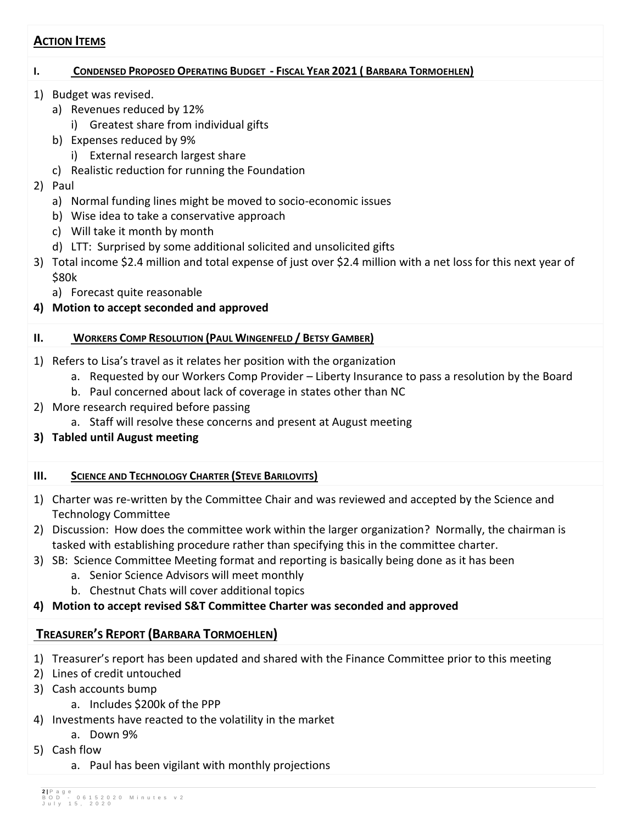### **ACTION ITEMS**

### I. CONDENSED PROPOSED OPERATING BUDGET - FISCAL YEAR 2021 (BARBARA TORMOEHLEN)

- 1) Budget was revised.
	- a) Revenues reduced by 12%
		- i) Greatest share from individual gifts
	- b) Expenses reduced by 9%
		- i) External research largest share
	- c) Realistic reduction for running the Foundation
- 2) Paul
	- a) Normal funding lines might be moved to socio-economic issues
	- b) Wise idea to take a conservative approach
	- c) Will take it month by month
	- d) LTT: Surprised by some additional solicited and unsolicited gifts
- 3) Total income \$2.4 million and total expense of just over \$2.4 million with a net loss for this next year of \$80k
	- a) Forecast quite reasonable
- **4) Motion to accept seconded and approved**

### **II. WORKERS COMP RESOLUTION (PAUL WINGENFELD / BETSY GAMBER)**

- 1) Refers to Lisa's travel as it relates her position with the organization
	- a. Requested by our Workers Comp Provider Liberty Insurance to pass a resolution by the Board
	- b. Paul concerned about lack of coverage in states other than NC
- 2) More research required before passing
	- a. Staff will resolve these concerns and present at August meeting
- **3) Tabled until August meeting**
- **III. SCIENCE AND TECHNOLOGY CHARTER (STEVE BARILOVITS)**
- 1) Charter was re-written by the Committee Chair and was reviewed and accepted by the Science and Technology Committee
- 2) Discussion: How does the committee work within the larger organization? Normally, the chairman is tasked with establishing procedure rather than specifying this in the committee charter.
- 3) SB: Science Committee Meeting format and reporting is basically being done as it has been
	- a. Senior Science Advisors will meet monthly
	- b. Chestnut Chats will cover additional topics
- **4) Motion to accept revised S&T Committee Charter was seconded and approved**

## **TREASURER'S REPORT (BARBARA TORMOEHLEN)**

- 1) Treasurer's report has been updated and shared with the Finance Committee prior to this meeting
- 2) Lines of credit untouched
- 3) Cash accounts bump
	- a. Includes \$200k of the PPP
- 4) Investments have reacted to the volatility in the market
- a. Down 9%
- 5) Cash flow
	- a. Paul has been vigilant with monthly projections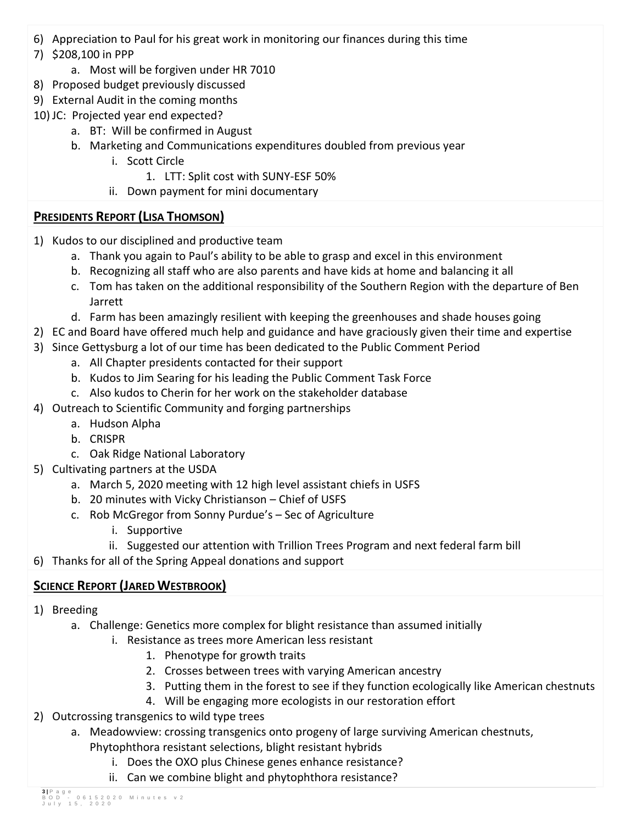- 6) Appreciation to Paul for his great work in monitoring our finances during this time
- 7) \$208,100 in PPP
	- a. Most will be forgiven under HR 7010
- 8) Proposed budget previously discussed
- 9) External Audit in the coming months
- 10) JC: Projected year end expected?
	- a. BT: Will be confirmed in August
	- b. Marketing and Communications expenditures doubled from previous year
		- i. Scott Circle
			- 1. LTT: Split cost with SUNY-ESF 50%
		- ii. Down payment for mini documentary

## **PRESIDENTS REPORT (LISA THOMSON)**

- 1) Kudos to our disciplined and productive team
	- a. Thank you again to Paul's ability to be able to grasp and excel in this environment
	- b. Recognizing all staff who are also parents and have kids at home and balancing it all
	- c. Tom has taken on the additional responsibility of the Southern Region with the departure of Ben Jarrett
	- d. Farm has been amazingly resilient with keeping the greenhouses and shade houses going
- 2) EC and Board have offered much help and guidance and have graciously given their time and expertise
- 3) Since Gettysburg a lot of our time has been dedicated to the Public Comment Period
	- a. All Chapter presidents contacted for their support
	- b. Kudos to Jim Searing for his leading the Public Comment Task Force
	- c. Also kudos to Cherin for her work on the stakeholder database
- 4) Outreach to Scientific Community and forging partnerships
	- a. Hudson Alpha
	- b. CRISPR
	- c. Oak Ridge National Laboratory
- 5) Cultivating partners at the USDA
	- a. March 5, 2020 meeting with 12 high level assistant chiefs in USFS
	- b. 20 minutes with Vicky Christianson Chief of USFS
	- c. Rob McGregor from Sonny Purdue's Sec of Agriculture
		- i. Supportive
		- ii. Suggested our attention with Trillion Trees Program and next federal farm bill
- 6) Thanks for all of the Spring Appeal donations and support

# **SCIENCE REPORT (JARED WESTBROOK)**

- 1) Breeding
	- a. Challenge: Genetics more complex for blight resistance than assumed initially
		- i. Resistance as trees more American less resistant
			- 1. Phenotype for growth traits
			- 2. Crosses between trees with varying American ancestry
			- 3. Putting them in the forest to see if they function ecologically like American chestnuts
			- 4. Will be engaging more ecologists in our restoration effort
- 2) Outcrossing transgenics to wild type trees
	- a. Meadowview: crossing transgenics onto progeny of large surviving American chestnuts, Phytophthora resistant selections, blight resistant hybrids
		- i. Does the OXO plus Chinese genes enhance resistance?
		- ii. Can we combine blight and phytophthora resistance?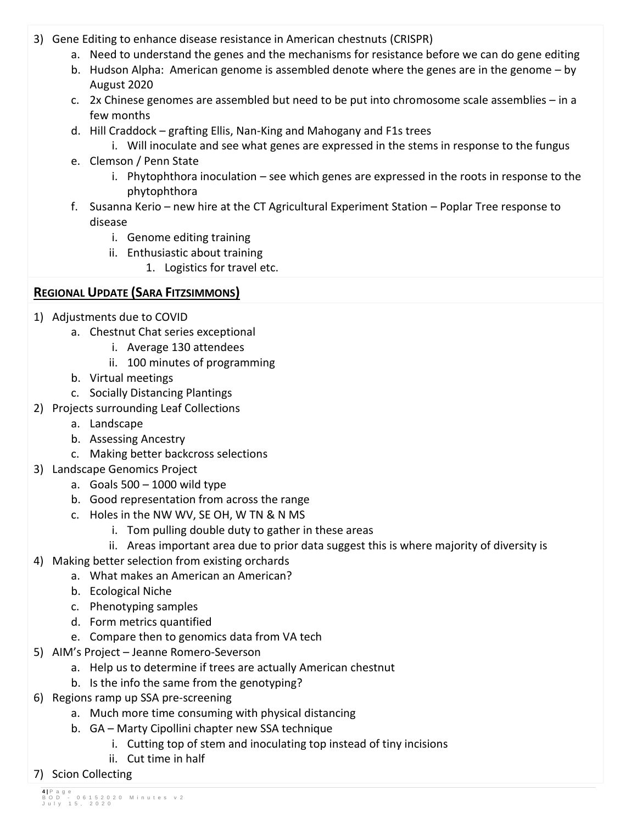- 3) Gene Editing to enhance disease resistance in American chestnuts (CRISPR)
	- a. Need to understand the genes and the mechanisms for resistance before we can do gene editing
	- b. Hudson Alpha: American genome is assembled denote where the genes are in the genome by August 2020
	- c. 2x Chinese genomes are assembled but need to be put into chromosome scale assemblies in a few months
	- d. Hill Craddock grafting Ellis, Nan-King and Mahogany and F1s trees
		- i. Will inoculate and see what genes are expressed in the stems in response to the fungus
	- e. Clemson / Penn State
		- i. Phytophthora inoculation see which genes are expressed in the roots in response to the phytophthora
	- f. Susanna Kerio new hire at the CT Agricultural Experiment Station Poplar Tree response to disease
		- i. Genome editing training
		- ii. Enthusiastic about training
			- 1. Logistics for travel etc.

## **REGIONAL UPDATE (SARA FITZSIMMONS)**

- 1) Adjustments due to COVID
	- a. Chestnut Chat series exceptional
		- i. Average 130 attendees
		- ii. 100 minutes of programming
	- b. Virtual meetings
	- c. Socially Distancing Plantings
- 2) Projects surrounding Leaf Collections
	- a. Landscape
		- b. Assessing Ancestry
		- c. Making better backcross selections
- 3) Landscape Genomics Project
	- a. Goals  $500 1000$  wild type
	- b. Good representation from across the range
	- c. Holes in the NW WV, SE OH, W TN & N MS
		- i. Tom pulling double duty to gather in these areas
		- ii. Areas important area due to prior data suggest this is where majority of diversity is
- 4) Making better selection from existing orchards
	- a. What makes an American an American?
	- b. Ecological Niche
	- c. Phenotyping samples
	- d. Form metrics quantified
	- e. Compare then to genomics data from VA tech
- 5) AIM's Project Jeanne Romero-Severson
	- a. Help us to determine if trees are actually American chestnut
	- b. Is the info the same from the genotyping?
- 6) Regions ramp up SSA pre-screening
	- a. Much more time consuming with physical distancing
	- b. GA Marty Cipollini chapter new SSA technique
		- i. Cutting top of stem and inoculating top instead of tiny incisions
		- ii. Cut time in half
- 7) Scion Collecting